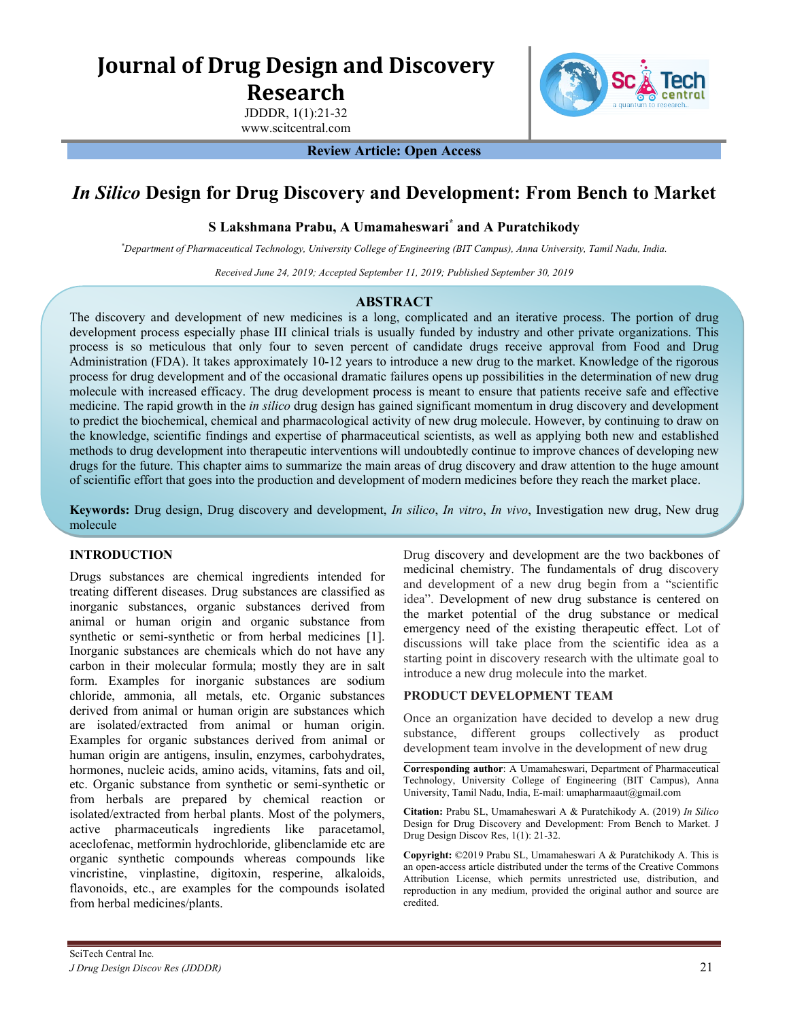# **Journal of Drug Design and Discovery**

**Research**

JDDDR, 1(1):21-32 www.scitcentral.com



**Review Article: Open Access**

## *In Silico* **Design for Drug Discovery and Development: From Bench to Market**

## **S Lakshmana Prabu, A Umamaheswari\* and A Puratchikody**

*\*Department of Pharmaceutical Technology, University College of Engineering (BIT Campus), Anna University, Tamil Nadu, India.* 

*Received June 24, 2019; Accepted September 11, 2019; Published*  $\Box$ *Z0* $\Box$ 

## **ABSTRACT**

The discovery and development of new medicines is a long, complicated and an iterative process. The portion of drug development process especially phase III clinical trials is usually funded by industry and other private organizations. This process is so meticulous that only four to seven percent of candidate drugs receive approval from Food and Drug Administration (FDA). It takes approximately 10-12 years to introduce a new drug to the market. Knowledge of the rigorous process for drug development and of the occasional dramatic failures opens up possibilities in the determination of new drug molecule with increased efficacy. The drug development process is meant to ensure that patients receive safe and effective medicine. The rapid growth in the *in silico* drug design has gained significant momentum in drug discovery and development to predict the biochemical, chemical and pharmacological activity of new drug molecule. However, by continuing to draw on the knowledge, scientific findings and expertise of pharmaceutical scientists, as well as applying both new and established methods to drug development into therapeutic interventions will undoubtedly continue to improve chances of developing new drugs for the future. This chapter aims to summarize the main areas of drug discovery and draw attention to the huge amount of scientific effort that goes into the production and development of modern medicines before they reach the market place.

**Keywords:** Drug design, Drug discovery and development, *In silico*, *In vitro*, *In vivo*, Investigation new drug, New drug molecule

## **INTRODUCTION**

Drugs substances are chemical ingredients intended for treating different diseases. Drug substances are classified as inorganic substances, organic substances derived from animal or human origin and organic substance from synthetic or semi-synthetic or from herbal medicines [1]. Inorganic substances are chemicals which do not have any carbon in their molecular formula; mostly they are in salt form. Examples for inorganic substances are sodium chloride, ammonia, all metals, etc. Organic substances derived from animal or human origin are substances which are isolated/extracted from animal or human origin. Examples for organic substances derived from animal or human origin are antigens, insulin, enzymes, carbohydrates, hormones, nucleic acids, amino acids, vitamins, fats and oil, etc. Organic substance from synthetic or semi-synthetic or from herbals are prepared by chemical reaction or isolated/extracted from herbal plants. Most of the polymers, active pharmaceuticals ingredients like paracetamol, aceclofenac, metformin hydrochloride, glibenclamide etc are organic synthetic compounds whereas compounds like vincristine, vinplastine, digitoxin, resperine, alkaloids, flavonoids, etc., are examples for the compounds isolated from herbal medicines/plants.

Drug discovery and development are the two backbones of medicinal chemistry. The fundamentals of drug discovery and development of a new drug begin from a "scientific idea". Development of new drug substance is centered on the market potential of the drug substance or medical emergency need of the existing therapeutic effect. Lot of discussions will take place from the scientific idea as a starting point in discovery research with the ultimate goal to introduce a new drug molecule into the market.

## **PRODUCT DEVELOPMENT TEAM**

Once an organization have decided to develop a new drug substance, different groups collectively as product development team involve in the development of new drug

**Corresponding author**: A Umamaheswari, Department of Pharmaceutical Technology, University College of Engineering (BIT Campus), Anna University, Tamil Nadu, India, E-mail: umapharmaaut@gmail.com

**Citation:** Prabu SL, Umamaheswari A & Puratchikody A. (2020) *In Silico* Design for Drug Discovery and Development: From Bench to Market. J Drug Design Discov Res, 1(1): 21-32.

**Copyright:** ©2020 Prabu SL, Umamaheswari A & Puratchikody A. This is an open-access article distributed under the terms of the Creative Commons Attribution License, which permits unrestricted use, distribution, and reproduction in any medium, provided the original author and source are credited.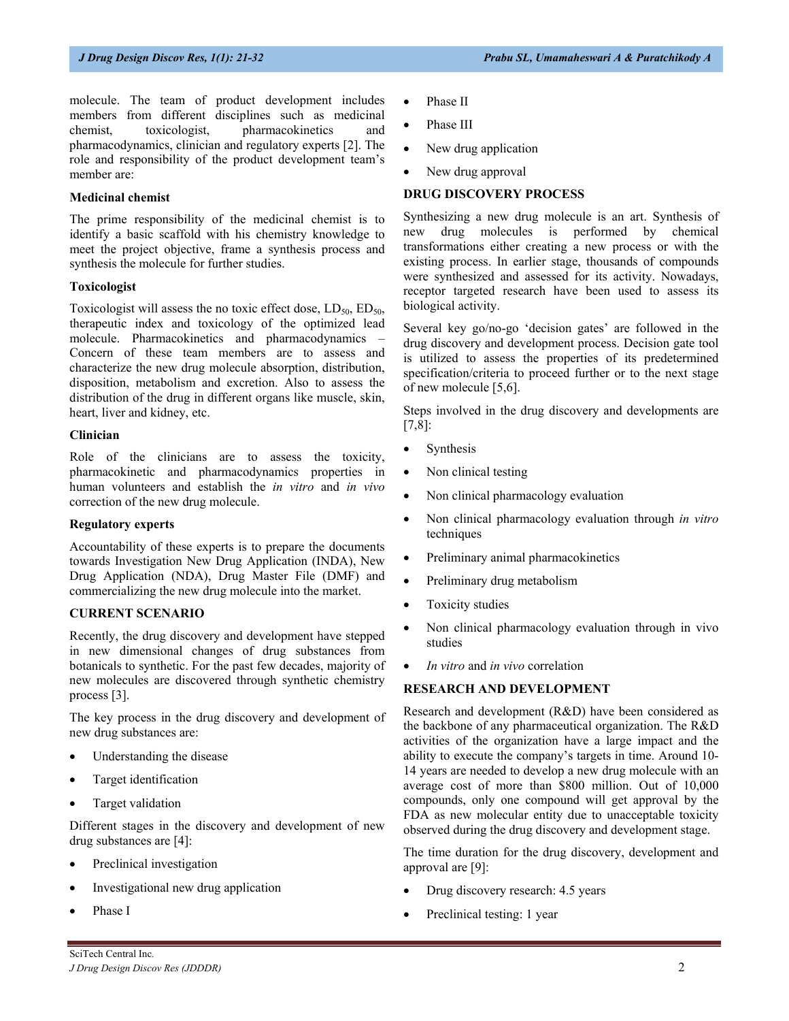molecule. The team of product development includes members from different disciplines such as medicinal chemist, toxicologist, pharmacokinetics and pharmacodynamics, clinician and regulatory experts [2]. The role and responsibility of the product development team's member are:

#### **Medicinal chemist**

The prime responsibility of the medicinal chemist is to identify a basic scaffold with his chemistry knowledge to meet the project objective, frame a synthesis process and synthesis the molecule for further studies.

#### **Toxicologist**

Toxicologist will assess the no toxic effect dose,  $LD_{50}$ ,  $ED_{50}$ , therapeutic index and toxicology of the optimized lead molecule. Pharmacokinetics and pharmacodynamics – Concern of these team members are to assess and characterize the new drug molecule absorption, distribution, disposition, metabolism and excretion. Also to assess the distribution of the drug in different organs like muscle, skin, heart, liver and kidney, etc.

#### **Clinician**

Role of the clinicians are to assess the toxicity, pharmacokinetic and pharmacodynamics properties in human volunteers and establish the *in vitro* and *in vivo* correction of the new drug molecule.

#### **Regulatory experts**

Accountability of these experts is to prepare the documents towards Investigation New Drug Application (INDA), New Drug Application (NDA), Drug Master File (DMF) and commercializing the new drug molecule into the market.

#### **CURRENT SCENARIO**

Recently, the drug discovery and development have stepped in new dimensional changes of drug substances from botanicals to synthetic. For the past few decades, majority of new molecules are discovered through synthetic chemistry process [3].

The key process in the drug discovery and development of new drug substances are:

- Understanding the disease
- Target identification
- Target validation

Different stages in the discovery and development of new drug substances are [4]:

- Preclinical investigation
- Investigational new drug application
- Phase I
- Phase II
- Phase III
- New drug application
- New drug approval

### **DRUG DISCOVERY PROCESS**

Synthesizing a new drug molecule is an art. Synthesis of new drug molecules is performed by chemical transformations either creating a new process or with the existing process. In earlier stage, thousands of compounds were synthesized and assessed for its activity. Nowadays, receptor targeted research have been used to assess its biological activity.

Several key go/no-go 'decision gates' are followed in the drug discovery and development process. Decision gate tool is utilized to assess the properties of its predetermined specification/criteria to proceed further or to the next stage of new molecule [5,6].

Steps involved in the drug discovery and developments are [7,8]:

- Synthesis
- Non clinical testing
- Non clinical pharmacology evaluation
- Non clinical pharmacology evaluation through *in vitro* techniques
- Preliminary animal pharmacokinetics
- Preliminary drug metabolism
- Toxicity studies
- Non clinical pharmacology evaluation through in vivo studies
- *In vitro* and *in vivo* correlation

#### **RESEARCH AND DEVELOPMENT**

Research and development (R&D) have been considered as the backbone of any pharmaceutical organization. The R&D activities of the organization have a large impact and the ability to execute the company's targets in time. Around 10- 14 years are needed to develop a new drug molecule with an average cost of more than \$800 million. Out of 10,000 compounds, only one compound will get approval by the FDA as new molecular entity due to unacceptable toxicity observed during the drug discovery and development stage.

The time duration for the drug discovery, development and approval are [9]:

- Drug discovery research: 4.5 years
- Preclinical testing: 1 year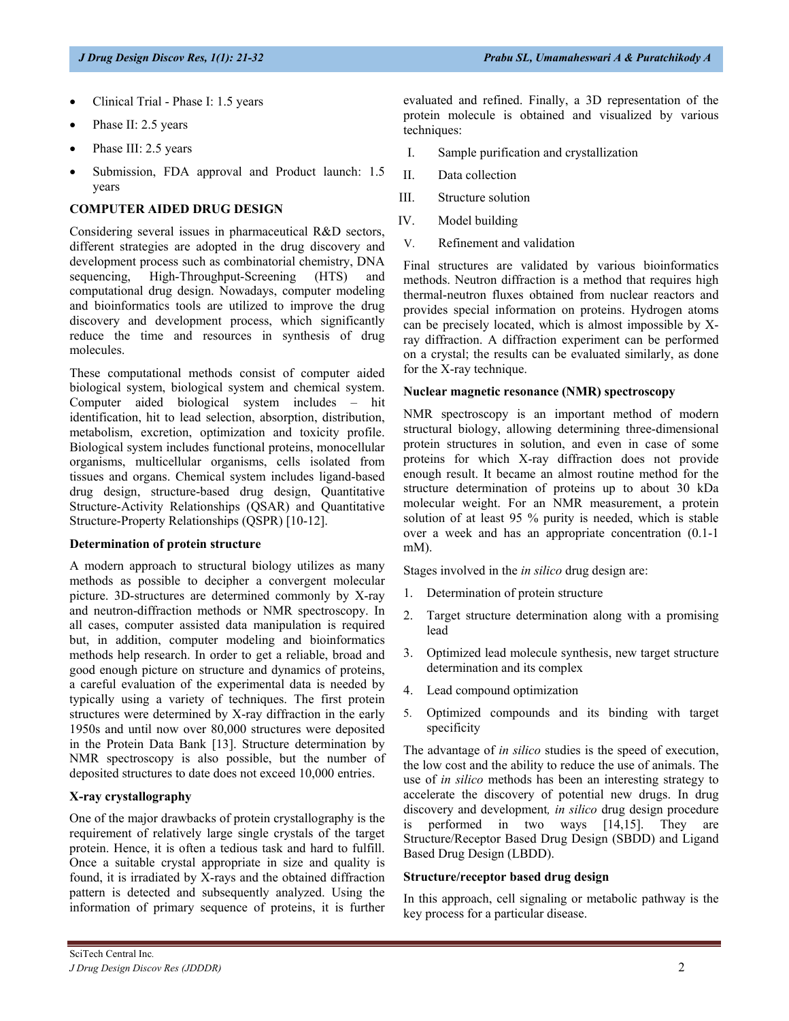- Clinical Trial Phase I: 1.5 years
- Phase II: 2.5 years
- Phase III: 2.5 years
- Submission, FDA approval and Product launch: 1.5 years

#### **COMPUTER AIDED DRUG DESIGN**

Considering several issues in pharmaceutical R&D sectors, different strategies are adopted in the drug discovery and development process such as combinatorial chemistry, DNA sequencing, High-Throughput-Screening (HTS) and computational drug design. Nowadays, computer modeling and bioinformatics tools are utilized to improve the drug discovery and development process, which significantly reduce the time and resources in synthesis of drug molecules.

These computational methods consist of computer aided biological system, biological system and chemical system. Computer aided biological system includes – hit identification, hit to lead selection, absorption, distribution, metabolism, excretion, optimization and toxicity profile. Biological system includes functional proteins, monocellular organisms, multicellular organisms, cells isolated from tissues and organs. Chemical system includes ligand-based drug design, structure-based drug design, Quantitative Structure-Activity Relationships (QSAR) and Quantitative Structure-Property Relationships (QSPR) [10-12].

#### **Determination of protein structure**

A modern approach to structural biology utilizes as many methods as possible to decipher a convergent molecular picture. 3D-structures are determined commonly by X-ray and neutron-diffraction methods or NMR spectroscopy. In all cases, computer assisted data manipulation is required but, in addition, computer modeling and bioinformatics methods help research. In order to get a reliable, broad and good enough picture on structure and dynamics of proteins, a careful evaluation of the experimental data is needed by typically using a variety of techniques. The first protein structures were determined by X-ray diffraction in the early 1950s and until now over 80,000 structures were deposited in the Protein Data Bank [13]. Structure determination by NMR spectroscopy is also possible, but the number of deposited structures to date does not exceed 10,000 entries.

#### **X-ray crystallography**

One of the major drawbacks of protein crystallography is the requirement of relatively large single crystals of the target protein. Hence, it is often a tedious task and hard to fulfill. Once a suitable crystal appropriate in size and quality is found, it is irradiated by X-rays and the obtained diffraction pattern is detected and subsequently analyzed. Using the information of primary sequence of proteins, it is further

evaluated and refined. Finally, a 3D representation of the protein molecule is obtained and visualized by various techniques:

- I. Sample purification and crystallization
- II. Data collection
- III. Structure solution
- IV. Model building
- V. Refinement and validation

Final structures are validated by various bioinformatics methods. Neutron diffraction is a method that requires high thermal-neutron fluxes obtained from nuclear reactors and provides special information on proteins. Hydrogen atoms can be precisely located, which is almost impossible by Xray diffraction. A diffraction experiment can be performed on a crystal; the results can be evaluated similarly, as done for the X-ray technique.

#### **Nuclear magnetic resonance (NMR) spectroscopy**

NMR spectroscopy is an important method of modern structural biology, allowing determining three-dimensional protein structures in solution, and even in case of some proteins for which X-ray diffraction does not provide enough result. It became an almost routine method for the structure determination of proteins up to about 30 kDa molecular weight. For an NMR measurement, a protein solution of at least 95 % purity is needed, which is stable over a week and has an appropriate concentration (0.1-1 mM).

Stages involved in the *in silico* drug design are:

- 1. Determination of protein structure
- 2. Target structure determination along with a promising lead
- 3. Optimized lead molecule synthesis, new target structure determination and its complex
- 4. Lead compound optimization
- 5. Optimized compounds and its binding with target specificity

The advantage of *in silico* studies is the speed of execution, the low cost and the ability to reduce the use of animals. The use of *in silico* methods has been an interesting strategy to accelerate the discovery of potential new drugs. In drug discovery and development*, in silico* drug design procedure is performed in two ways [14,15]. They are Structure/Receptor Based Drug Design (SBDD) and Ligand Based Drug Design (LBDD).

#### **Structure/receptor based drug design**

In this approach, cell signaling or metabolic pathway is the key process for a particular disease.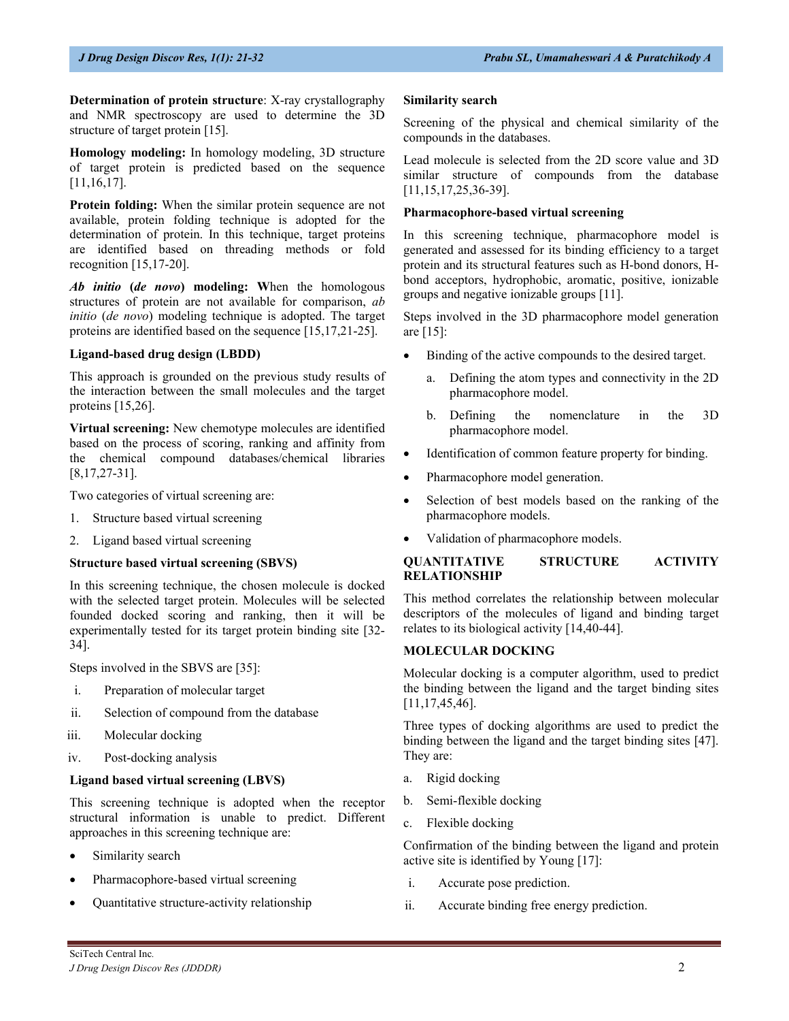**Determination of protein structure**: X-ray crystallography and NMR spectroscopy are used to determine the 3D structure of target protein [15].

**Homology modeling:** In homology modeling, 3D structure of target protein is predicted based on the sequence [11,16,17].

**Protein folding:** When the similar protein sequence are not available, protein folding technique is adopted for the determination of protein. In this technique, target proteins are identified based on threading methods or fold recognition  $[15, 17-20]$ .

*Ab initio* **(***de novo***) modeling: W**hen the homologous structures of protein are not available for comparison, *ab initio* (*de novo*) modeling technique is adopted. The target proteins are identified based on the sequence [15,17,21-25].

#### **Ligand-based drug design (LBDD)**

This approach is grounded on the previous study results of the interaction between the small molecules and the target proteins [15,26].

**Virtual screening:** New chemotype molecules are identified based on the process of scoring, ranking and affinity from the chemical compound databases/chemical libraries [8,17,27-31].

Two categories of virtual screening are:

- 1. Structure based virtual screening
- 2. Ligand based virtual screening

#### **Structure based virtual screening (SBVS)**

In this screening technique, the chosen molecule is docked with the selected target protein. Molecules will be selected founded docked scoring and ranking, then it will be experimentally tested for its target protein binding site [32- 34].

Steps involved in the SBVS are [35]:

- i. Preparation of molecular target
- ii. Selection of compound from the database
- iii. Molecular docking
- iv. Post-docking analysis

#### **Ligand based virtual screening (LBVS)**

This screening technique is adopted when the receptor structural information is unable to predict. Different approaches in this screening technique are:

- Similarity search
- Pharmacophore-based virtual screening
- Quantitative structure-activity relationship

#### **Similarity search**

Screening of the physical and chemical similarity of the compounds in the databases.

Lead molecule is selected from the 2D score value and 3D similar structure of compounds from the database [11,15,17,25,36-39].

### **Pharmacophore-based virtual screening**

In this screening technique, pharmacophore model is generated and assessed for its binding efficiency to a target protein and its structural features such as H-bond donors, Hbond acceptors, hydrophobic, aromatic, positive, ionizable groups and negative ionizable groups [11].

Steps involved in the 3D pharmacophore model generation are [15]:

- Binding of the active compounds to the desired target.
	- Defining the atom types and connectivity in the 2D pharmacophore model.
	- b. Defining the nomenclature in the 3D pharmacophore model.
- Identification of common feature property for binding.
- Pharmacophore model generation.
- Selection of best models based on the ranking of the pharmacophore models.
- Validation of pharmacophore models.

## **QUANTITATIVE STRUCTURE ACTIVITY RELATIONSHIP**

This method correlates the relationship between molecular descriptors of the molecules of ligand and binding target relates to its biological activity [14,40-44].

#### **MOLECULAR DOCKING**

Molecular docking is a computer algorithm, used to predict the binding between the ligand and the target binding sites [11,17,45,46].

Three types of docking algorithms are used to predict the binding between the ligand and the target binding sites [47]. They are:

- a. Rigid docking
- b. Semi-flexible docking
- c. Flexible docking

Confirmation of the binding between the ligand and protein active site is identified by Young [17]:

- i. Accurate pose prediction.
- ii. Accurate binding free energy prediction.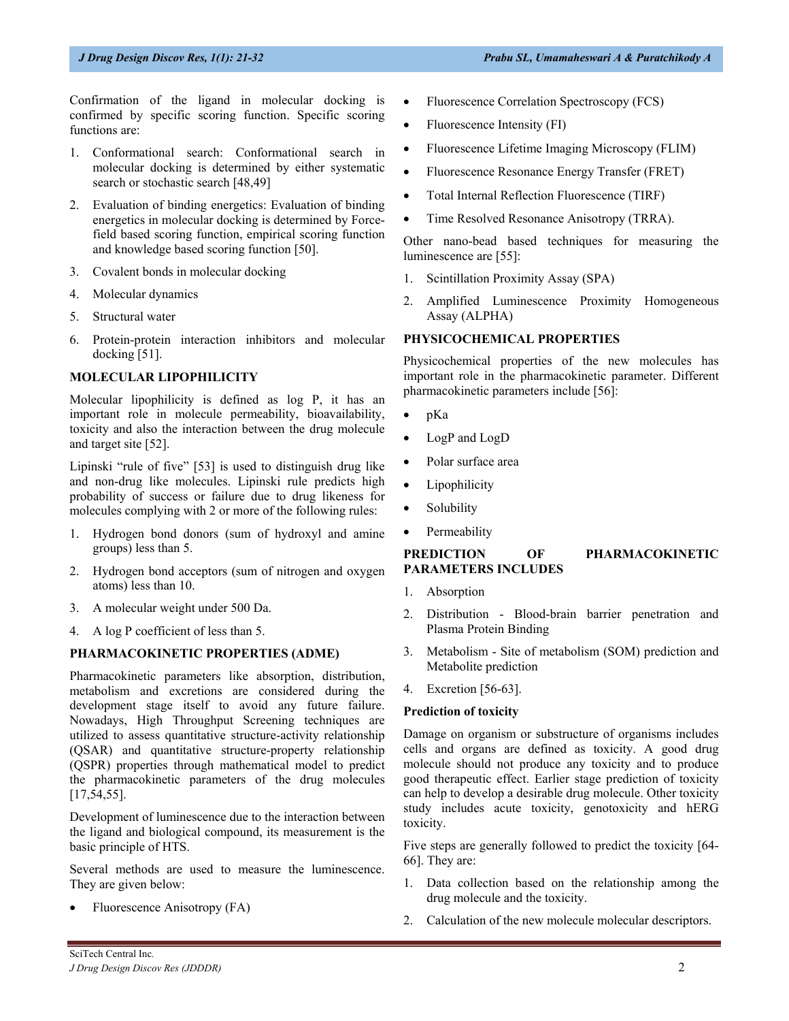Confirmation of the ligand in molecular docking is confirmed by specific scoring function. Specific scoring functions are:

- 1. Conformational search: Conformational search in molecular docking is determined by either systematic search or stochastic search [48,49]
- 2. Evaluation of binding energetics: Evaluation of binding energetics in molecular docking is determined by Forcefield based scoring function, empirical scoring function and knowledge based scoring function [50].
- 3. Covalent bonds in molecular docking
- 4. Molecular dynamics
- 5. Structural water
- 6. Protein-protein interaction inhibitors and molecular docking [51].

## **MOLECULAR LIPOPHILICITY**

Molecular lipophilicity is defined as log P, it has an important role in molecule permeability, bioavailability, toxicity and also the interaction between the drug molecule and target site [52].

Lipinski "rule of five" [53] is used to distinguish drug like and non-drug like molecules. Lipinski rule predicts high probability of success or failure due to drug likeness for molecules complying with 2 or more of the following rules:

- 1. Hydrogen bond donors (sum of hydroxyl and amine groups) less than 5.
- 2. Hydrogen bond acceptors (sum of nitrogen and oxygen atoms) less than 10.
- 3. A molecular weight under 500 Da.
- 4. A log P coefficient of less than 5.

#### **PHARMACOKINETIC PROPERTIES (ADME)**

Pharmacokinetic parameters like absorption, distribution, metabolism and excretions are considered during the development stage itself to avoid any future failure. Nowadays, High Throughput Screening techniques are utilized to assess quantitative structure-activity relationship (QSAR) and quantitative structure-property relationship (QSPR) properties through mathematical model to predict the pharmacokinetic parameters of the drug molecules [17,54,55].

Development of luminescence due to the interaction between the ligand and biological compound, its measurement is the basic principle of HTS.

Several methods are used to measure the luminescence. They are given below:

• Fluorescence Anisotropy (FA)

- Fluorescence Correlation Spectroscopy (FCS)
- Fluorescence Intensity (FI)
- Fluorescence Lifetime Imaging Microscopy (FLIM)
- Fluorescence Resonance Energy Transfer (FRET)
- Total Internal Reflection Fluorescence (TIRF)
- Time Resolved Resonance Anisotropy (TRRA).

Other nano-bead based techniques for measuring the luminescence are [55]:

- 1. Scintillation Proximity Assay (SPA)
- 2. Amplified Luminescence Proximity Homogeneous Assay (ALPHA)

#### **PHYSICOCHEMICAL PROPERTIES**

Physicochemical properties of the new molecules has important role in the pharmacokinetic parameter. Different pharmacokinetic parameters include [56]:

- pKa
- LogP and LogD
- Polar surface area
- Lipophilicity
- Solubility
- Permeability

#### **PREDICTION OF PHARMACOKINETIC PARAMETERS INCLUDES**

- 1. Absorption
- 2. Distribution Blood-brain barrier penetration and Plasma Protein Binding
- 3. Metabolism Site of metabolism (SOM) prediction and Metabolite prediction
- 4. Excretion [56-63].

## **Prediction of toxicity**

Damage on organism or substructure of organisms includes cells and organs are defined as toxicity. A good drug molecule should not produce any toxicity and to produce good therapeutic effect. Earlier stage prediction of toxicity can help to develop a desirable drug molecule. Other toxicity study includes acute toxicity, genotoxicity and hERG toxicity.

Five steps are generally followed to predict the toxicity [64- 66]. They are:

- 1. Data collection based on the relationship among the drug molecule and the toxicity.
- 2. Calculation of the new molecule molecular descriptors.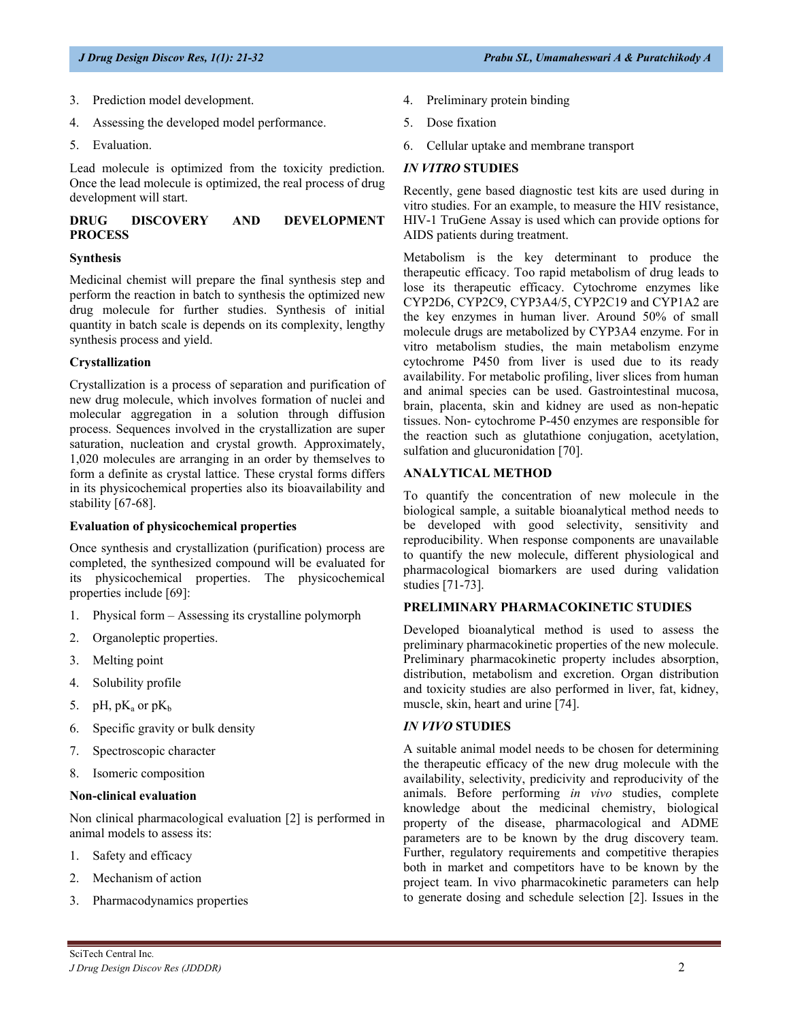- 3. Prediction model development.
- 4. Assessing the developed model performance.
- 5. Evaluation.

Lead molecule is optimized from the toxicity prediction. Once the lead molecule is optimized, the real process of drug development will start.

## **DRUG DISCOVERY AND DEVELOPMENT PROCESS**

#### **Synthesis**

Medicinal chemist will prepare the final synthesis step and perform the reaction in batch to synthesis the optimized new drug molecule for further studies. Synthesis of initial quantity in batch scale is depends on its complexity, lengthy synthesis process and yield.

## **Crystallization**

Crystallization is a process of separation and purification of new drug molecule, which involves formation of nuclei and molecular aggregation in a solution through diffusion process. Sequences involved in the crystallization are super saturation, nucleation and crystal growth. Approximately, 1,020 molecules are arranging in an order by themselves to form a definite as crystal lattice. These crystal forms differs in its physicochemical properties also its bioavailability and stability [67-68].

## **Evaluation of physicochemical properties**

Once synthesis and crystallization (purification) process are completed, the synthesized compound will be evaluated for its physicochemical properties. The physicochemical properties include [69]:

- 1. Physical form Assessing its crystalline polymorph
- 2. Organoleptic properties.
- 3. Melting point
- 4. Solubility profile
- 5. pH,  $pK_a$  or  $pK_b$
- 6. Specific gravity or bulk density
- 7. Spectroscopic character
- 8. Isomeric composition

#### **Non-clinical evaluation**

Non clinical pharmacological evaluation [2] is performed in animal models to assess its:

- 1. Safety and efficacy
- 2. Mechanism of action
- 3. Pharmacodynamics properties
- 4. Preliminary protein binding
- 5. Dose fixation
- 6. Cellular uptake and membrane transport

#### *IN VITRO* **STUDIES**

Recently, gene based diagnostic test kits are used during in vitro studies. For an example, to measure the HIV resistance, HIV-1 TruGene Assay is used which can provide options for AIDS patients during treatment.

Metabolism is the key determinant to produce the therapeutic efficacy. Too rapid metabolism of drug leads to lose its therapeutic efficacy. Cytochrome enzymes like CYP2D6, CYP2C9, CYP3A4/5, CYP2C19 and CYP1A2 are the key enzymes in human liver. Around 50% of small molecule drugs are metabolized by CYP3A4 enzyme. For in vitro metabolism studies, the main metabolism enzyme cytochrome P450 from liver is used due to its ready availability. For metabolic profiling, liver slices from human and animal species can be used. Gastrointestinal mucosa, brain, placenta, skin and kidney are used as non-hepatic tissues. Non- cytochrome P-450 enzymes are responsible for the reaction such as glutathione conjugation, acetylation, sulfation and glucuronidation [70].

#### **ANALYTICAL METHOD**

To quantify the concentration of new molecule in the biological sample, a suitable bioanalytical method needs to be developed with good selectivity, sensitivity and reproducibility. When response components are unavailable to quantify the new molecule, different physiological and pharmacological biomarkers are used during validation studies [71-73].

## **PRELIMINARY PHARMACOKINETIC STUDIES**

Developed bioanalytical method is used to assess the preliminary pharmacokinetic properties of the new molecule. Preliminary pharmacokinetic property includes absorption, distribution, metabolism and excretion. Organ distribution and toxicity studies are also performed in liver, fat, kidney, muscle, skin, heart and urine [74].

## *IN VIVO* **STUDIES**

A suitable animal model needs to be chosen for determining the therapeutic efficacy of the new drug molecule with the availability, selectivity, predicivity and reproducivity of the animals. Before performing *in vivo* studies, complete knowledge about the medicinal chemistry, biological property of the disease, pharmacological and ADME parameters are to be known by the drug discovery team. Further, regulatory requirements and competitive therapies both in market and competitors have to be known by the project team. In vivo pharmacokinetic parameters can help to generate dosing and schedule selection [2]. Issues in the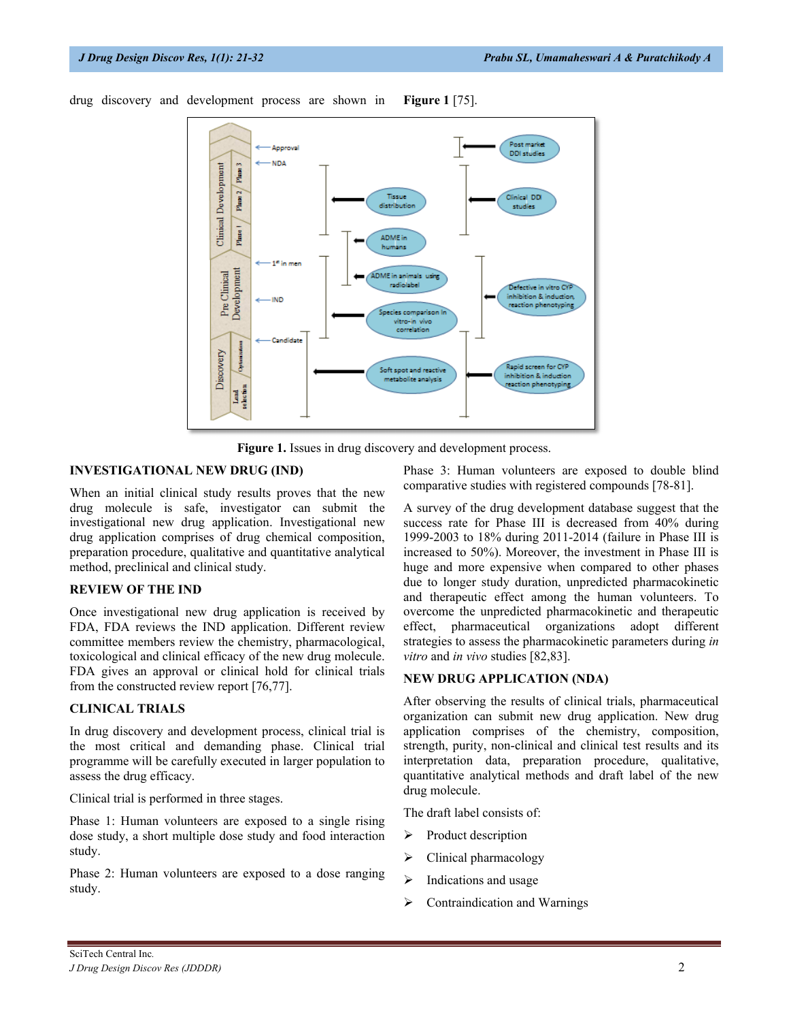

drug discovery and development process are shown in **Figure 1** [75].

**Figure 1.** Issues in drug discovery and development process.

## **INVESTIGATIONAL NEW DRUG (IND)**

When an initial clinical study results proves that the new drug molecule is safe, investigator can submit the investigational new drug application. Investigational new drug application comprises of drug chemical composition, preparation procedure, qualitative and quantitative analytical method, preclinical and clinical study.

#### **REVIEW OF THE IND**

Once investigational new drug application is received by FDA, FDA reviews the IND application. Different review committee members review the chemistry, pharmacological, toxicological and clinical efficacy of the new drug molecule. FDA gives an approval or clinical hold for clinical trials from the constructed review report [76,77].

#### **CLINICAL TRIALS**

In drug discovery and development process, clinical trial is the most critical and demanding phase. Clinical trial programme will be carefully executed in larger population to assess the drug efficacy.

Clinical trial is performed in three stages.

Phase 1: Human volunteers are exposed to a single rising dose study, a short multiple dose study and food interaction study.

Phase 2: Human volunteers are exposed to a dose ranging study.

Phase 3: Human volunteers are exposed to double blind comparative studies with registered compounds [78-81].

A survey of the drug development database suggest that the success rate for Phase III is decreased from 40% during 1999-2003 to 18% during 2011-2014 (failure in Phase III is increased to 50%). Moreover, the investment in Phase III is huge and more expensive when compared to other phases due to longer study duration, unpredicted pharmacokinetic and therapeutic effect among the human volunteers. To overcome the unpredicted pharmacokinetic and therapeutic effect, pharmaceutical organizations adopt different strategies to assess the pharmacokinetic parameters during *in vitro* and *in vivo* studies [82,83].

## **NEW DRUG APPLICATION (NDA)**

After observing the results of clinical trials, pharmaceutical organization can submit new drug application. New drug application comprises of the chemistry, composition, strength, purity, non-clinical and clinical test results and its interpretation data, preparation procedure, qualitative, quantitative analytical methods and draft label of the new drug molecule.

The draft label consists of:

- $\triangleright$  Product description
- > Clinical pharmacology
- $\triangleright$  Indications and usage
- $\triangleright$  Contraindication and Warnings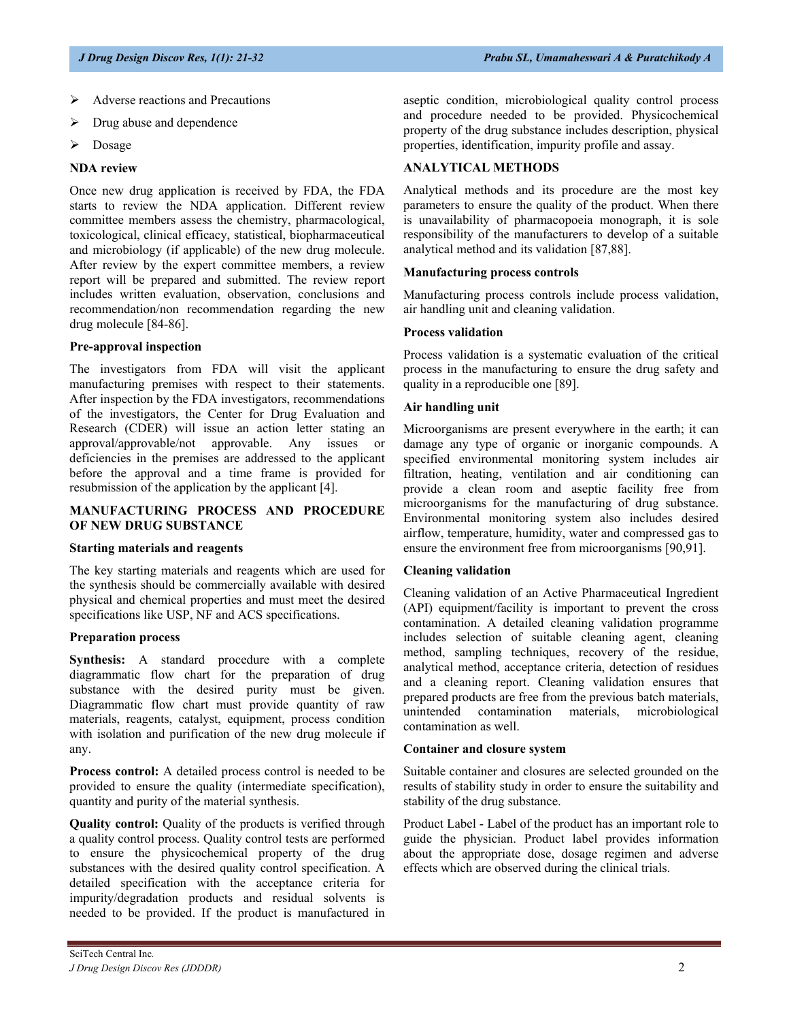- Adverse reactions and Precautions
- Drug abuse and dependence
- > Dosage

#### **NDA review**

Once new drug application is received by FDA, the FDA starts to review the NDA application. Different review committee members assess the chemistry, pharmacological, toxicological, clinical efficacy, statistical, biopharmaceutical and microbiology (if applicable) of the new drug molecule. After review by the expert committee members, a review report will be prepared and submitted. The review report includes written evaluation, observation, conclusions and recommendation/non recommendation regarding the new drug molecule [84-86].

#### **Pre-approval inspection**

The investigators from FDA will visit the applicant manufacturing premises with respect to their statements. After inspection by the FDA investigators, recommendations of the investigators, the Center for Drug Evaluation and Research (CDER) will issue an action letter stating an approval/approvable/not approvable. Any issues or deficiencies in the premises are addressed to the applicant before the approval and a time frame is provided for resubmission of the application by the applicant [4].

## **MANUFACTURING PROCESS AND PROCEDURE OF NEW DRUG SUBSTANCE**

#### **Starting materials and reagents**

The key starting materials and reagents which are used for the synthesis should be commercially available with desired physical and chemical properties and must meet the desired specifications like USP, NF and ACS specifications.

## **Preparation process**

**Synthesis:** A standard procedure with a complete diagrammatic flow chart for the preparation of drug substance with the desired purity must be given. Diagrammatic flow chart must provide quantity of raw materials, reagents, catalyst, equipment, process condition with isolation and purification of the new drug molecule if any.

**Process control:** A detailed process control is needed to be provided to ensure the quality (intermediate specification), quantity and purity of the material synthesis.

**Quality control:** Quality of the products is verified through a quality control process. Quality control tests are performed to ensure the physicochemical property of the drug substances with the desired quality control specification. A detailed specification with the acceptance criteria for impurity/degradation products and residual solvents is needed to be provided. If the product is manufactured in

## **ANALYTICAL METHODS**

Analytical methods and its procedure are the most key parameters to ensure the quality of the product. When there is unavailability of pharmacopoeia monograph, it is sole responsibility of the manufacturers to develop of a suitable analytical method and its validation [87,88].

#### **Manufacturing process controls**

Manufacturing process controls include process validation, air handling unit and cleaning validation.

#### **Process validation**

Process validation is a systematic evaluation of the critical process in the manufacturing to ensure the drug safety and quality in a reproducible one [89].

#### **Air handling unit**

Microorganisms are present everywhere in the earth; it can damage any type of organic or inorganic compounds. A specified environmental monitoring system includes air filtration, heating, ventilation and air conditioning can provide a clean room and aseptic facility free from microorganisms for the manufacturing of drug substance. Environmental monitoring system also includes desired airflow, temperature, humidity, water and compressed gas to ensure the environment free from microorganisms [90,91].

## **Cleaning validation**

Cleaning validation of an Active Pharmaceutical Ingredient (API) equipment/facility is important to prevent the cross contamination. A detailed cleaning validation programme includes selection of suitable cleaning agent, cleaning method, sampling techniques, recovery of the residue, analytical method, acceptance criteria, detection of residues and a cleaning report. Cleaning validation ensures that prepared products are free from the previous batch materials, unintended contamination materials, microbiological contamination as well.

#### **Container and closure system**

Suitable container and closures are selected grounded on the results of stability study in order to ensure the suitability and stability of the drug substance.

Product Label - Label of the product has an important role to guide the physician. Product label provides information about the appropriate dose, dosage regimen and adverse effects which are observed during the clinical trials.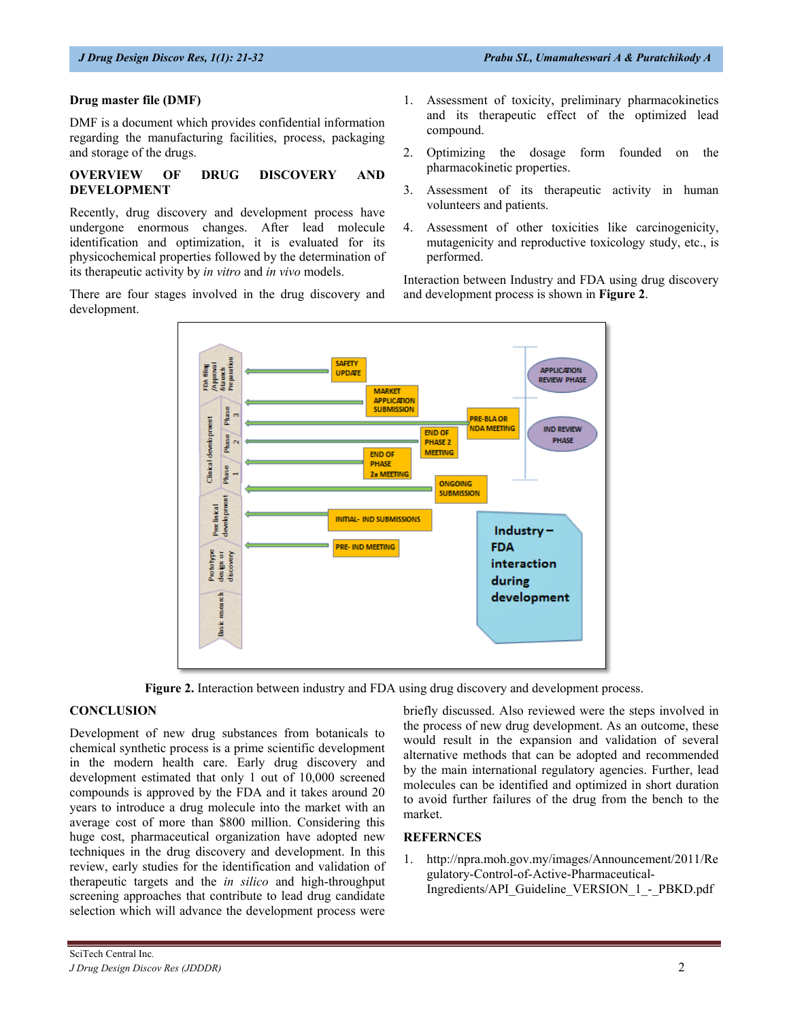## **Drug master file (DMF)**

DMF is a document which provides confidential information regarding the manufacturing facilities, process, packaging and storage of the drugs.

#### **OVERVIEW OF DRUG DISCOVERY AND DEVELOPMENT**

Recently, drug discovery and development process have undergone enormous changes. After lead molecule identification and optimization, it is evaluated for its physicochemical properties followed by the determination of its therapeutic activity by *in vitro* and *in vivo* models.

There are four stages involved in the drug discovery and development.

- 1. Assessment of toxicity, preliminary pharmacokinetics and its therapeutic effect of the optimized lead compound.
- 2. Optimizing the dosage form founded on the pharmacokinetic properties.
- 3. Assessment of its therapeutic activity in human volunteers and patients.
- 4. Assessment of other toxicities like carcinogenicity, mutagenicity and reproductive toxicology study, etc., is performed.

Interaction between Industry and FDA using drug discovery and development process is shown in **Figure 2**.



**Figure 2.** Interaction between industry and FDA using drug discovery and development process.

## **CONCLUSION**

Development of new drug substances from botanicals to chemical synthetic process is a prime scientific development in the modern health care. Early drug discovery and development estimated that only 1 out of 10,000 screened compounds is approved by the FDA and it takes around 20 years to introduce a drug molecule into the market with an average cost of more than \$800 million. Considering this huge cost, pharmaceutical organization have adopted new techniques in the drug discovery and development. In this review, early studies for the identification and validation of therapeutic targets and the *in silico* and high-throughput screening approaches that contribute to lead drug candidate selection which will advance the development process were

briefly discussed. Also reviewed were the steps involved in the process of new drug development. As an outcome, these would result in the expansion and validation of several alternative methods that can be adopted and recommended by the main international regulatory agencies. Further, lead molecules can be identified and optimized in short duration to avoid further failures of the drug from the bench to the market.

## **REFERNCES**

[1. http://npra.moh.gov.my/images/Announcement/2011/Re](http://npra.moh.gov.my/images/Announcement/2011/Regulatory-Control-of-Active-Pharmaceutical-Ingredients/API_Guideline_VERSION_1_-_PBKD.pdf) [gulatory-Control-of-Active-Pharmaceutical-](http://npra.moh.gov.my/images/Announcement/2011/Regulatory-Control-of-Active-Pharmaceutical-Ingredients/API_Guideline_VERSION_1_-_PBKD.pdf)[Ingredients/API\\_Guideline\\_VERSION\\_1\\_-\\_PBKD.pdf](http://npra.moh.gov.my/images/Announcement/2011/Regulatory-Control-of-Active-Pharmaceutical-Ingredients/API_Guideline_VERSION_1_-_PBKD.pdf)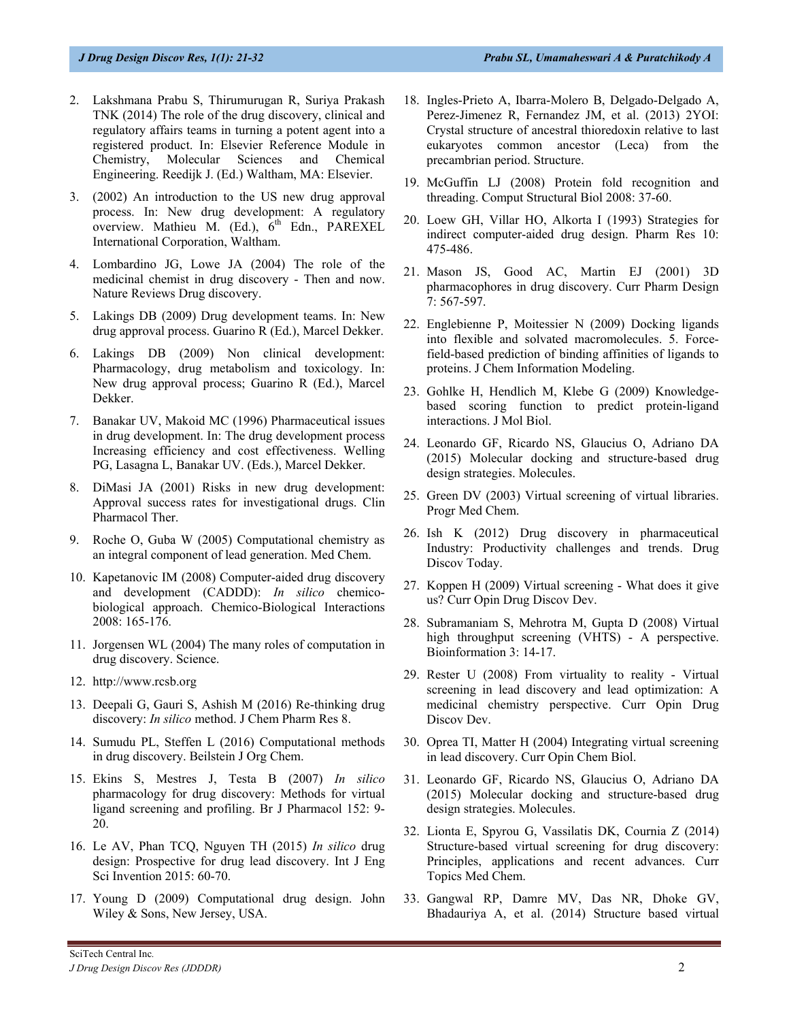- 2. Lakshmana Prabu S, Thirumurugan R, Suriya Prakash TNK (2014) The role of the drug discovery, clinical and regulatory affairs teams in turning a potent agent into a registered product. In: Elsevier Reference Module in Chemistry, Molecular Sciences and Chemical Engineering. Reedijk J. (Ed.) Waltham, MA: Elsevier.
- 3. (2002) An introduction to the US new drug approval process. In: New drug development: A regulatory overview. Mathieu M. (Ed.), 6<sup>th</sup> Edn., PAREXEL International Corporation, Waltham.
- 4. Lombardino JG, Lowe JA (2004) The role of the medicinal chemist in drug discovery - Then and now. Nature Reviews Drug discovery.
- 5. Lakings DB (2009) Drug development teams. In: New drug approval process. Guarino R (Ed.), Marcel Dekker.
- 6. Lakings DB (2009) Non clinical development: Pharmacology, drug metabolism and toxicology. In: New drug approval process; Guarino R (Ed.), Marcel Dekker.
- 7. Banakar UV, Makoid MC (1996) Pharmaceutical issues in drug development. In: The drug development process Increasing efficiency and cost effectiveness. Welling PG, Lasagna L, Banakar UV. (Eds.), Marcel Dekker.
- 8. DiMasi JA (2001) Risks in new drug development: Approval success rates for investigational drugs. Clin Pharmacol Ther.
- 9. Roche O, Guba W (2005) Computational chemistry as an integral component of lead generation. Med Chem.
- 10. Kapetanovic IM (2008) Computer-aided drug discovery and development (CADDD): *In silico* chemicobiological approach. Chemico-Biological Interactions 2008: 165-176.
- 11. Jorgensen WL (2004) The many roles of computation in drug discovery. Science.
- 12. [http://www.rcsb.org](http://www.rcsb.org/)
- 13. Deepali G, Gauri S, Ashish M (2016) Re-thinking drug discovery: *In silico* method. J Chem Pharm Res 8.
- 14. Sumudu PL, Steffen L (2016) Computational methods in drug discovery. Beilstein J Org Chem.
- 15. Ekins S, Mestres J, Testa B (2007) *In silico* pharmacology for drug discovery: Methods for virtual ligand screening and profiling. Br J Pharmacol 152: 9- 20.
- 16. Le AV, Phan TCQ, Nguyen TH (2015) *In silico* drug design: Prospective for drug lead discovery. Int J Eng Sci Invention 2015: 60-70.
- 17. Young D (2009) Computational drug design. John Wiley & Sons, New Jersey, USA.
- 18. Ingles-Prieto A, Ibarra-Molero B, Delgado-Delgado A, Perez-Jimenez R, Fernandez JM, et al. (2013) 2YOI: Crystal structure of ancestral thioredoxin relative to last eukaryotes common ancestor (Leca) from the precambrian period. Structure.
- 19. McGuffin LJ (2008) Protein fold recognition and threading. Comput Structural Biol 2008: 37-60.
- 20. Loew GH, Villar HO, Alkorta I (1993) Strategies for indirect computer-aided drug design. Pharm Res 10: 475-486.
- 21. Mason JS, Good AC, Martin EJ (2001) 3D pharmacophores in drug discovery. Curr Pharm Design 7: 567-597.
- 22. Englebienne P, Moitessier N (2009) Docking ligands into flexible and solvated macromolecules. 5. Forcefield-based prediction of binding affinities of ligands to proteins. J Chem Information Modeling.
- 23. Gohlke H, Hendlich M, Klebe G (2009) Knowledgebased scoring function to predict protein-ligand interactions. J Mol Biol.
- 24. Leonardo GF, Ricardo NS, Glaucius O, Adriano DA (2015) Molecular docking and structure-based drug design strategies. Molecules.
- 25. Green DV (2003) Virtual screening of virtual libraries. Progr Med Chem.
- 26. Ish K (2012) Drug discovery in pharmaceutical Industry: Productivity challenges and trends. Drug Discov Today.
- 27. Koppen H (2009) Virtual screening What does it give us? Curr Opin Drug Discov Dev.
- 28. Subramaniam S, Mehrotra M, Gupta D (2008) Virtual high throughput screening (VHTS) - A perspective. Bioinformation 3: 14-17.
- 29. Rester U (2008) From virtuality to reality Virtual screening in lead discovery and lead optimization: A medicinal chemistry perspective. Curr Opin Drug Discov Dev.
- 30. Oprea TI, Matter H (2004) Integrating virtual screening in lead discovery. Curr Opin Chem Biol.
- 31. Leonardo GF, Ricardo NS, Glaucius O, Adriano DA (2015) Molecular docking and structure-based drug design strategies. Molecules.
- 32. Lionta E, Spyrou G, Vassilatis DK, Cournia Z (2014) Structure-based virtual screening for drug discovery: Principles, applications and recent advances. Curr Topics Med Chem.
- 33. Gangwal RP, Damre MV, Das NR, Dhoke GV, Bhadauriya A, et al. (2014) Structure based virtual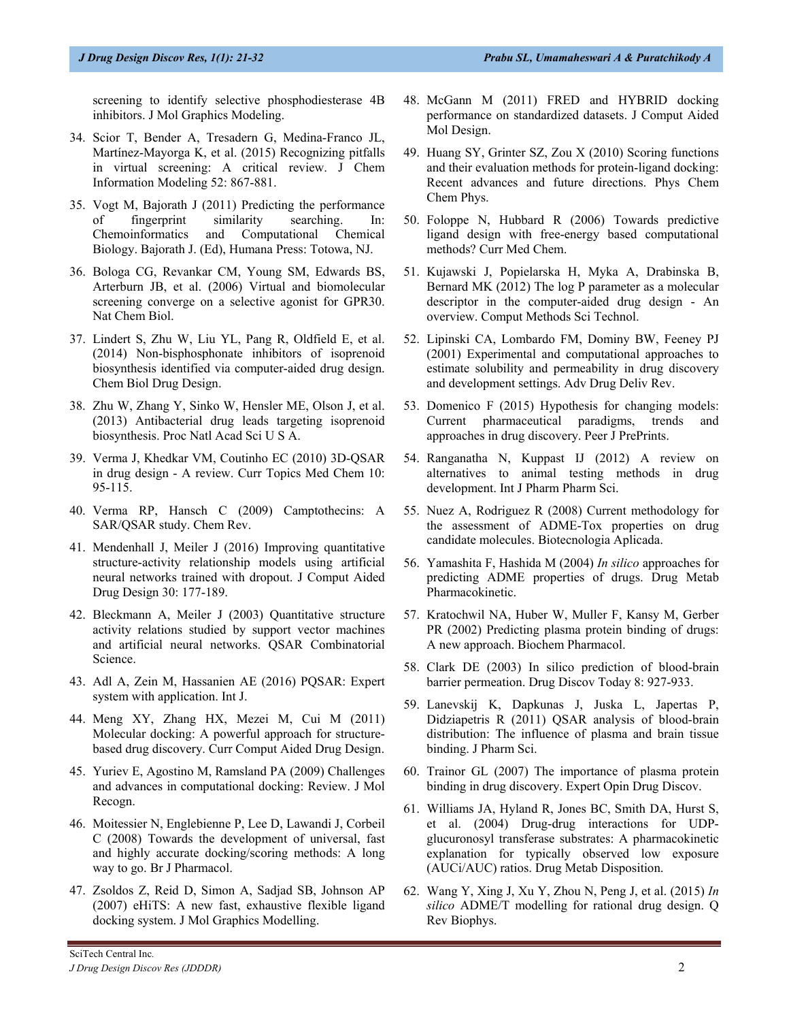screening to identify selective phosphodiesterase 4B inhibitors. J Mol Graphics Modeling.

- 34. Scior T, Bender A, Tresadern G, Medina-Franco JL, Martínez-Mayorga K, et al. (2015) Recognizing pitfalls in virtual screening: A critical review. J Chem Information Modeling 52: 867-881.
- 35. Vogt M, Bajorath J (2011) Predicting the performance of fingerprint similarity searching. In: Chemoinformatics and Computational Chemical Biology. Bajorath J. (Ed), Humana Press: Totowa, NJ.
- 36. Bologa CG, Revankar CM, Young SM, Edwards BS, Arterburn JB, et al. (2006) Virtual and biomolecular screening converge on a selective agonist for GPR30. Nat Chem Biol.
- 37. Lindert S, Zhu W, Liu YL, Pang R, Oldfield E, et al. (2014) Non-bisphosphonate inhibitors of isoprenoid biosynthesis identified via computer-aided drug design. Chem Biol Drug Design.
- 38. Zhu W, Zhang Y, Sinko W, Hensler ME, Olson J, et al. (2013) Antibacterial drug leads targeting isoprenoid biosynthesis. Proc Natl Acad Sci U S A.
- 39. Verma J, Khedkar VM, Coutinho EC (2010) 3D-QSAR in drug design - A review. Curr Topics Med Chem 10: 95-115.
- 40. Verma RP, Hansch C (2009) Camptothecins: A SAR/QSAR study. Chem Rev.
- 41. Mendenhall J, Meiler J (2016) Improving quantitative structure-activity relationship models using artificial neural networks trained with dropout. J Comput Aided Drug Design 30: 177-189.
- 42. Bleckmann A, Meiler J (2003) Quantitative structure activity relations studied by support vector machines and artificial neural networks. QSAR Combinatorial Science.
- 43. Adl A, Zein M, Hassanien AE (2016) PQSAR: Expert system with application. Int J.
- 44. Meng XY, Zhang HX, Mezei M, Cui M (2011) Molecular docking: A powerful approach for structurebased drug discovery. Curr Comput Aided Drug Design.
- 45. Yuriev E, Agostino M, Ramsland PA (2009) Challenges and advances in computational docking: Review. J Mol Recogn.
- 46. Moitessier N, Englebienne P, Lee D, Lawandi J, Corbeil C (2008) Towards the development of universal, fast and highly accurate docking/scoring methods: A long way to go. Br J Pharmacol.
- 47. Zsoldos Z, Reid D, Simon A, Sadjad SB, Johnson AP (2007) eHiTS: A new fast, exhaustive flexible ligand docking system. J Mol Graphics Modelling.
- 48. McGann M (2011) FRED and HYBRID docking performance on standardized datasets. J Comput Aided Mol Design.
- 49. Huang SY, Grinter SZ, Zou X (2010) Scoring functions and their evaluation methods for protein-ligand docking: Recent advances and future directions. Phys Chem Chem Phys.
- 50. Foloppe N, Hubbard R (2006) Towards predictive ligand design with free-energy based computational methods? Curr Med Chem.
- 51. Kujawski J, Popielarska H, Myka A, Drabinska B, Bernard MK (2012) The log P parameter as a molecular descriptor in the computer-aided drug design - An overview. Comput Methods Sci Technol.
- 52. Lipinski CA, Lombardo FM, Dominy BW, Feeney PJ (2001) Experimental and computational approaches to estimate solubility and permeability in drug discovery and development settings. Adv Drug Deliv Rev.
- 53. Domenico F (2015) Hypothesis for changing models: Current pharmaceutical paradigms, trends and approaches in drug discovery. Peer J PrePrints.
- 54. Ranganatha N, Kuppast IJ (2012) A review on alternatives to animal testing methods in drug development. Int J Pharm Pharm Sci.
- 55. Nuez A, Rodriguez R (2008) Current methodology for the assessment of ADME-Tox properties on drug candidate molecules. Biotecnologia Aplicada.
- 56. Yamashita F, Hashida M (2004) *In silico* approaches for predicting ADME properties of drugs. Drug Metab Pharmacokinetic.
- 57. Kratochwil NA, Huber W, Muller F, Kansy M, Gerber PR (2002) Predicting plasma protein binding of drugs: A new approach. Biochem Pharmacol.
- 58. Clark DE (2003) In silico prediction of blood-brain barrier permeation. Drug Discov Today 8: 927-933.
- 59. Lanevskij K, Dapkunas J, Juska L, Japertas P, Didziapetris R (2011) QSAR analysis of blood-brain distribution: The influence of plasma and brain tissue binding. J Pharm Sci.
- 60. Trainor GL (2007) The importance of plasma protein binding in drug discovery. Expert Opin Drug Discov.
- 61. Williams JA, Hyland R, Jones BC, Smith DA, Hurst S, et al. (2004) Drug-drug interactions for UDPglucuronosyl transferase substrates: A pharmacokinetic explanation for typically observed low exposure (AUCi/AUC) ratios. Drug Metab Disposition.
- 62. Wang Y, Xing J, Xu Y, Zhou N, Peng J, et al. (2015) *In silico* ADME/T modelling for rational drug design. Q Rev Biophys.